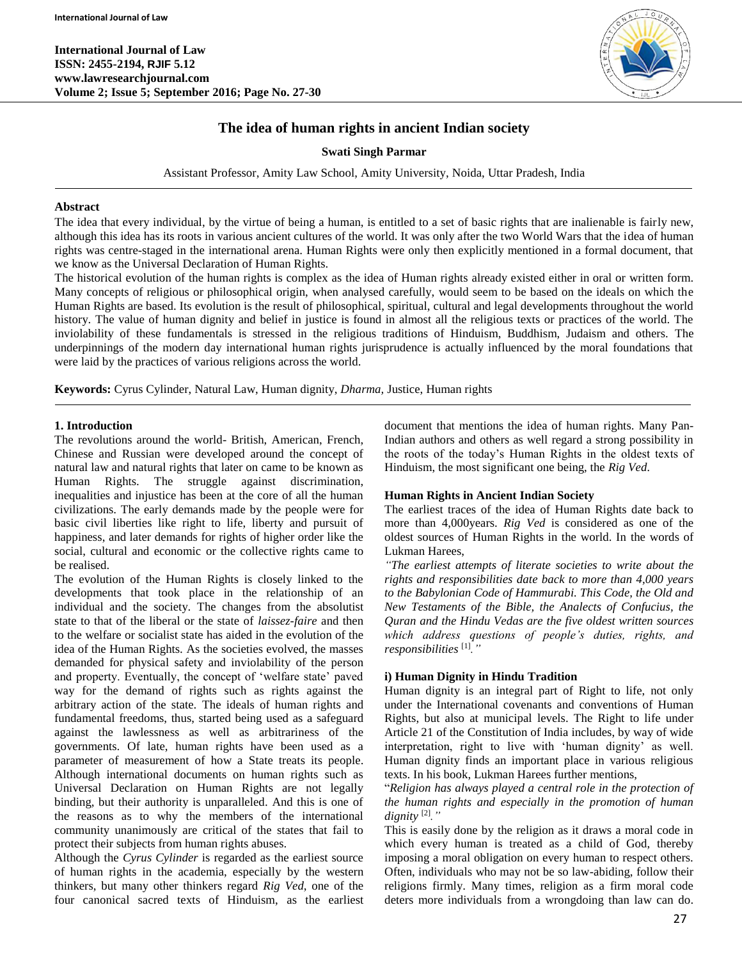

# **The idea of human rights in ancient Indian society**

## **Swati Singh Parmar**

Assistant Professor, Amity Law School, Amity University, Noida, Uttar Pradesh, India

#### **Abstract**

The idea that every individual, by the virtue of being a human, is entitled to a set of basic rights that are inalienable is fairly new, although this idea has its roots in various ancient cultures of the world. It was only after the two World Wars that the idea of human rights was centre-staged in the international arena. Human Rights were only then explicitly mentioned in a formal document, that we know as the Universal Declaration of Human Rights.

The historical evolution of the human rights is complex as the idea of Human rights already existed either in oral or written form. Many concepts of religious or philosophical origin, when analysed carefully, would seem to be based on the ideals on which the Human Rights are based. Its evolution is the result of philosophical, spiritual, cultural and legal developments throughout the world history. The value of human dignity and belief in justice is found in almost all the religious texts or practices of the world. The inviolability of these fundamentals is stressed in the religious traditions of Hinduism, Buddhism, Judaism and others. The underpinnings of the modern day international human rights jurisprudence is actually influenced by the moral foundations that were laid by the practices of various religions across the world.

**Keywords:** Cyrus Cylinder, Natural Law, Human dignity, *Dharma,* Justice, Human rights

#### **1. Introduction**

The revolutions around the world- British, American, French, Chinese and Russian were developed around the concept of natural law and natural rights that later on came to be known as Human Rights. The struggle against discrimination, inequalities and injustice has been at the core of all the human civilizations. The early demands made by the people were for basic civil liberties like right to life, liberty and pursuit of happiness, and later demands for rights of higher order like the social, cultural and economic or the collective rights came to be realised.

The evolution of the Human Rights is closely linked to the developments that took place in the relationship of an individual and the society. The changes from the absolutist state to that of the liberal or the state of *laissez-faire* and then to the welfare or socialist state has aided in the evolution of the idea of the Human Rights. As the societies evolved, the masses demanded for physical safety and inviolability of the person and property. Eventually, the concept of 'welfare state' paved way for the demand of rights such as rights against the arbitrary action of the state. The ideals of human rights and fundamental freedoms, thus, started being used as a safeguard against the lawlessness as well as arbitrariness of the governments. Of late, human rights have been used as a parameter of measurement of how a State treats its people. Although international documents on human rights such as Universal Declaration on Human Rights are not legally binding, but their authority is unparalleled. And this is one of the reasons as to why the members of the international community unanimously are critical of the states that fail to protect their subjects from human rights abuses.

Although the *Cyrus Cylinder* is regarded as the earliest source of human rights in the academia, especially by the western thinkers, but many other thinkers regard *Rig Ved*, one of the four canonical sacred texts of Hinduism, as the earliest document that mentions the idea of human rights. Many Pan-Indian authors and others as well regard a strong possibility in the roots of the today's Human Rights in the oldest texts of Hinduism, the most significant one being, the *Rig Ved.*

## **Human Rights in Ancient Indian Society**

The earliest traces of the idea of Human Rights date back to more than 4,000years. *Rig Ved* is considered as one of the oldest sources of Human Rights in the world. In the words of Lukman Harees,

*"The earliest attempts of literate societies to write about the rights and responsibilities date back to more than 4,000 years to the Babylonian Code of Hammurabi. This Code, the Old and New Testaments of the Bible, the Analects of Confucius, the Quran and the Hindu Vedas are the five oldest written sources which address questions of people's duties, rights, and responsibilities* [1]*."*

## **i) Human Dignity in Hindu Tradition**

Human dignity is an integral part of Right to life, not only under the International covenants and conventions of Human Rights, but also at municipal levels. The Right to life under Article 21 of the Constitution of India includes, by way of wide interpretation, right to live with 'human dignity' as well. Human dignity finds an important place in various religious texts. In his book, Lukman Harees further mentions,

"*Religion has always played a central role in the protection of the human rights and especially in the promotion of human dignity* [2]*."*

This is easily done by the religion as it draws a moral code in which every human is treated as a child of God, thereby imposing a moral obligation on every human to respect others. Often, individuals who may not be so law-abiding, follow their religions firmly. Many times, religion as a firm moral code deters more individuals from a wrongdoing than law can do.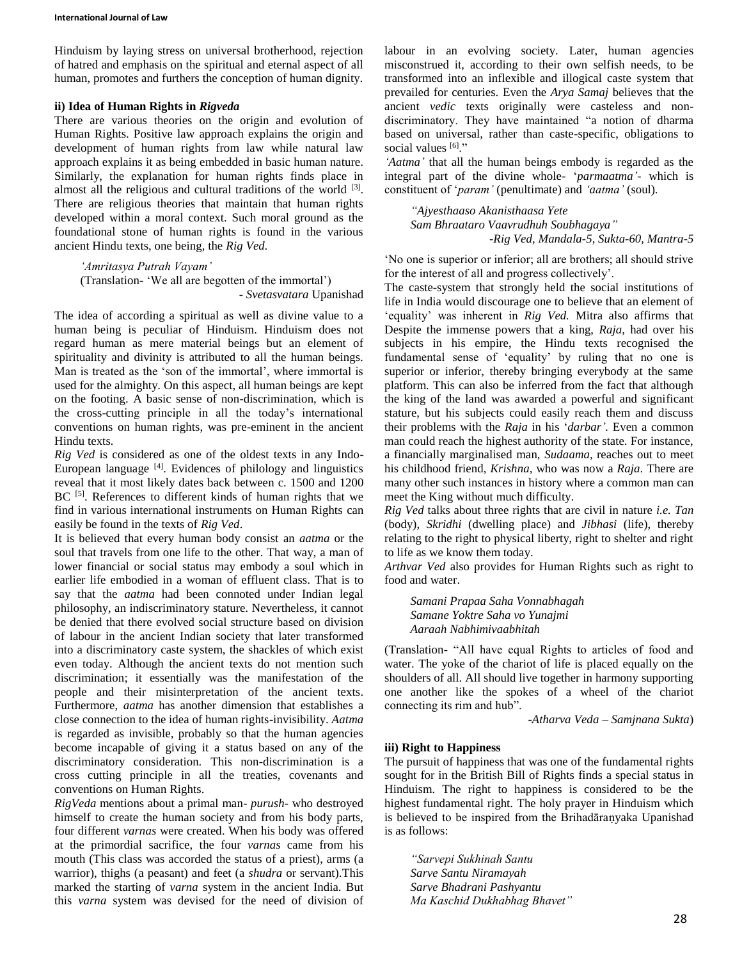Hinduism by laying stress on universal brotherhood, rejection of hatred and emphasis on the spiritual and eternal aspect of all human, promotes and furthers the conception of human dignity.

#### **ii) Idea of Human Rights in** *Rigveda*

There are various theories on the origin and evolution of Human Rights. Positive law approach explains the origin and development of human rights from law while natural law approach explains it as being embedded in basic human nature. Similarly, the explanation for human rights finds place in almost all the religious and cultural traditions of the world  $[3]$ . There are religious theories that maintain that human rights developed within a moral context. Such moral ground as the foundational stone of human rights is found in the various ancient Hindu texts, one being, the *Rig Ved.*

*'Amritasya Putrah Vayam'* (Translation- 'We all are begotten of the immortal') - *Svetasvatara* Upanishad

The idea of according a spiritual as well as divine value to a human being is peculiar of Hinduism. Hinduism does not regard human as mere material beings but an element of spirituality and divinity is attributed to all the human beings. Man is treated as the 'son of the immortal', where immortal is used for the almighty. On this aspect, all human beings are kept on the footing. A basic sense of non-discrimination, which is the cross-cutting principle in all the today's international conventions on human rights, was pre-eminent in the ancient Hindu texts*.*

*Rig Ved* is considered as one of the oldest texts in any Indo-European language [4] . Evidences of philology and linguistics reveal that it most likely dates back between c. 1500 and 1200 BC<sup>[5]</sup>. References to different kinds of human rights that we find in various international instruments on Human Rights can easily be found in the texts of *Rig Ved*.

It is believed that every human body consist an *aatma* or the soul that travels from one life to the other. That way, a man of lower financial or social status may embody a soul which in earlier life embodied in a woman of effluent class. That is to say that the *aatma* had been connoted under Indian legal philosophy, an indiscriminatory stature. Nevertheless, it cannot be denied that there evolved social structure based on division of labour in the ancient Indian society that later transformed into a discriminatory caste system, the shackles of which exist even today. Although the ancient texts do not mention such discrimination; it essentially was the manifestation of the people and their misinterpretation of the ancient texts. Furthermore, *aatma* has another dimension that establishes a close connection to the idea of human rights-invisibility. *Aatma* is regarded as invisible, probably so that the human agencies become incapable of giving it a status based on any of the discriminatory consideration. This non-discrimination is a cross cutting principle in all the treaties, covenants and conventions on Human Rights.

*RigVeda* mentions about a primal man- *purush*- who destroyed himself to create the human society and from his body parts, four different *varnas* were created. When his body was offered at the primordial sacrifice, the four *varnas* came from his mouth (This class was accorded the status of a priest), arms (a warrior), thighs (a peasant) and feet (a *shudra* or servant).This marked the starting of *varna* system in the ancient India. But this *varna* system was devised for the need of division of

labour in an evolving society. Later, human agencies misconstrued it, according to their own selfish needs, to be transformed into an inflexible and illogical caste system that prevailed for centuries. Even the *Arya Samaj* believes that the ancient *vedic* texts originally were casteless and nondiscriminatory. They have maintained "a notion of dharma based on universal, rather than caste-specific, obligations to social values [6]."

*'Aatma'* that all the human beings embody is regarded as the integral part of the divine whole- '*parmaatma'*- which is constituent of '*param'* (penultimate) and *'aatma'* (soul)*.*

*"Ajyesthaaso Akanisthaasa Yete Sam Bhraataro Vaavrudhuh Soubhagaya" -Rig Ved, Mandala-5, Sukta-60, Mantra-5*

'No one is superior or inferior; all are brothers; all should strive for the interest of all and progress collectively'.

The caste-system that strongly held the social institutions of life in India would discourage one to believe that an element of 'equality' was inherent in *Rig Ved.* Mitra also affirms that Despite the immense powers that a king, *Raja*, had over his subjects in his empire, the Hindu texts recognised the fundamental sense of 'equality' by ruling that no one is superior or inferior, thereby bringing everybody at the same platform. This can also be inferred from the fact that although the king of the land was awarded a powerful and significant stature, but his subjects could easily reach them and discuss their problems with the *Raja* in his '*darbar'.* Even a common man could reach the highest authority of the state. For instance, a financially marginalised man, *Sudaama,* reaches out to meet his childhood friend, *Krishna,* who was now a *Raja*. There are many other such instances in history where a common man can meet the King without much difficulty.

*Rig Ved* talks about three rights that are civil in nature *i.e. Tan* (body), *Skridhi* (dwelling place) and *Jibhasi* (life), thereby relating to the right to physical liberty, right to shelter and right to life as we know them today.

*Arthvar Ved* also provides for Human Rights such as right to food and water.

*Samani Prapaa Saha Vonnabhagah Samane Yoktre Saha vo Yunajmi Aaraah Nabhimivaabhitah*

(Translation- "All have equal Rights to articles of food and water. The yoke of the chariot of life is placed equally on the shoulders of all. All should live together in harmony supporting one another like the spokes of a wheel of the chariot connecting its rim and hub".

-*Atharva Veda – Samjnana Sukta*)

## **iii) Right to Happiness**

The pursuit of happiness that was one of the fundamental rights sought for in the British Bill of Rights finds a special status in Hinduism. The right to happiness is considered to be the highest fundamental right. The holy prayer in Hinduism which is believed to be inspired from the Brihadāraṇyaka Upanishad is as follows:

*"Sarvepi Sukhinah Santu Sarve Santu Niramayah Sarve Bhadrani Pashyantu Ma Kaschid Dukhabhag Bhavet"*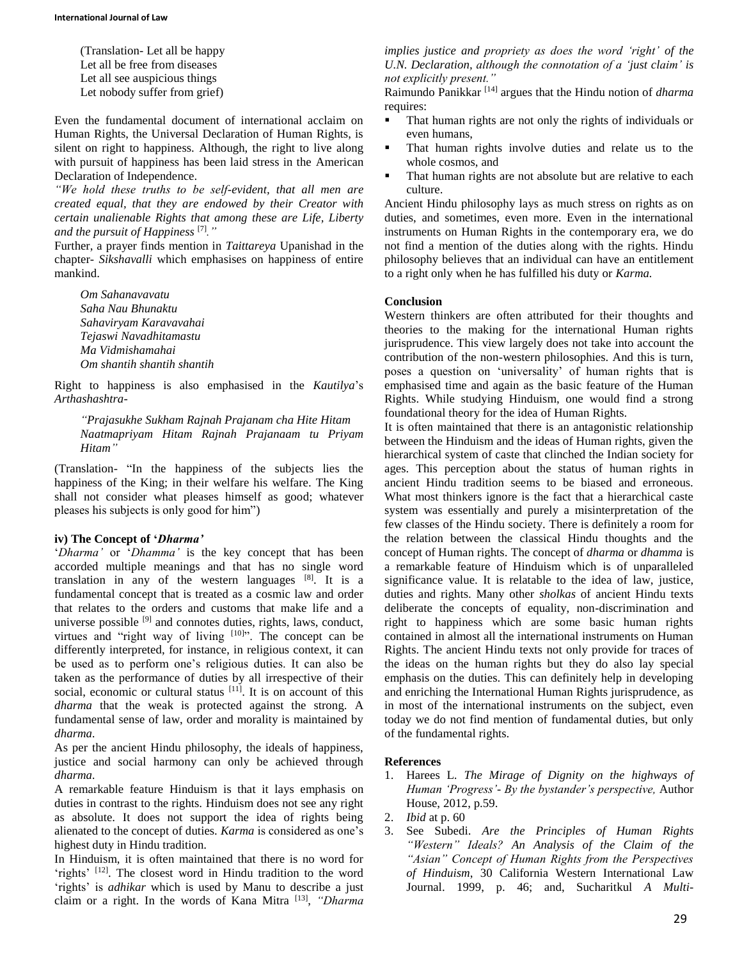(Translation- Let all be happy Let all be free from diseases Let all see auspicious things Let nobody suffer from grief)

Even the fundamental document of international acclaim on Human Rights, the Universal Declaration of Human Rights, is silent on right to happiness. Although, the right to live along with pursuit of happiness has been laid stress in the American Declaration of Independence.

*"We hold these truths to be self-evident, that all men are created equal, that they are endowed by their Creator with certain unalienable Rights that among these are Life, Liberty and the pursuit of Happiness* [7]*."*

Further, a prayer finds mention in *Taittareya* Upanishad in the chapter- *Sikshavalli* which emphasises on happiness of entire mankind.

*Om Sahanavavatu Saha Nau Bhunaktu Sahaviryam Karavavahai Tejaswi Navadhitamastu Ma Vidmishamahai Om shantih shantih shantih*

Right to happiness is also emphasised in the *Kautilya*'s *Arthashashtra-*

*"Prajasukhe Sukham Rajnah Prajanam cha Hite Hitam Naatmapriyam Hitam Rajnah Prajanaam tu Priyam Hitam"*

(Translation- "In the happiness of the subjects lies the happiness of the King; in their welfare his welfare. The King shall not consider what pleases himself as good; whatever pleases his subjects is only good for him")

## **iv) The Concept of '***Dharma'*

'*Dharma'* or '*Dhamma'* is the key concept that has been accorded multiple meanings and that has no single word translation in any of the western languages [8]. It is a fundamental concept that is treated as a cosmic law and order that relates to the orders and customs that make life and a universe possible [9] and connotes duties, rights, laws, conduct, virtues and "right way of living  $[10]$ ". The concept can be differently interpreted, for instance, in religious context, it can be used as to perform one's religious duties. It can also be taken as the performance of duties by all irrespective of their social, economic or cultural status [11]. It is on account of this *dharma* that the weak is protected against the strong. A fundamental sense of law, order and morality is maintained by *dharma.*

As per the ancient Hindu philosophy, the ideals of happiness, justice and social harmony can only be achieved through *dharma.*

A remarkable feature Hinduism is that it lays emphasis on duties in contrast to the rights. Hinduism does not see any right as absolute. It does not support the idea of rights being alienated to the concept of duties. *Karma* is considered as one's highest duty in Hindu tradition.

In Hinduism, it is often maintained that there is no word for 'rights' [12]. The closest word in Hindu tradition to the word 'rights' is *adhikar* which is used by Manu to describe a just claim or a right. In the words of Kana Mitra [13] , *"Dharma*  *implies justice and propriety as does the word 'right' of the U.N. Declaration, although the connotation of a 'just claim' is not explicitly present."*

Raimundo Panikkar [14] argues that the Hindu notion of *dharma* requires:

- That human rights are not only the rights of individuals or even humans,
- That human rights involve duties and relate us to the whole cosmos, and
- That human rights are not absolute but are relative to each culture.

Ancient Hindu philosophy lays as much stress on rights as on duties, and sometimes, even more. Even in the international instruments on Human Rights in the contemporary era, we do not find a mention of the duties along with the rights. Hindu philosophy believes that an individual can have an entitlement to a right only when he has fulfilled his duty or *Karma.*

#### **Conclusion**

Western thinkers are often attributed for their thoughts and theories to the making for the international Human rights jurisprudence. This view largely does not take into account the contribution of the non-western philosophies. And this is turn, poses a question on 'universality' of human rights that is emphasised time and again as the basic feature of the Human Rights. While studying Hinduism, one would find a strong foundational theory for the idea of Human Rights.

It is often maintained that there is an antagonistic relationship between the Hinduism and the ideas of Human rights, given the hierarchical system of caste that clinched the Indian society for ages. This perception about the status of human rights in ancient Hindu tradition seems to be biased and erroneous. What most thinkers ignore is the fact that a hierarchical caste system was essentially and purely a misinterpretation of the few classes of the Hindu society. There is definitely a room for the relation between the classical Hindu thoughts and the concept of Human rights. The concept of *dharma* or *dhamma* is a remarkable feature of Hinduism which is of unparalleled significance value. It is relatable to the idea of law, justice, duties and rights. Many other *sholkas* of ancient Hindu texts deliberate the concepts of equality, non-discrimination and right to happiness which are some basic human rights contained in almost all the international instruments on Human Rights. The ancient Hindu texts not only provide for traces of the ideas on the human rights but they do also lay special emphasis on the duties. This can definitely help in developing and enriching the International Human Rights jurisprudence, as in most of the international instruments on the subject, even today we do not find mention of fundamental duties, but only of the fundamental rights.

## **References**

- 1. Harees L. *The Mirage of Dignity on the highways of Human 'Progress'- By the bystander's perspective,* Author House, 2012, p.59.
- 2. *Ibid* at p. 60
- 3. See Subedi. *Are the Principles of Human Rights "Western" Ideals? An Analysis of the Claim of the "Asian" Concept of Human Rights from the Perspectives of Hinduism*, 30 California Western International Law Journal. 1999, p. 46; and, Sucharitkul *A Multi-*